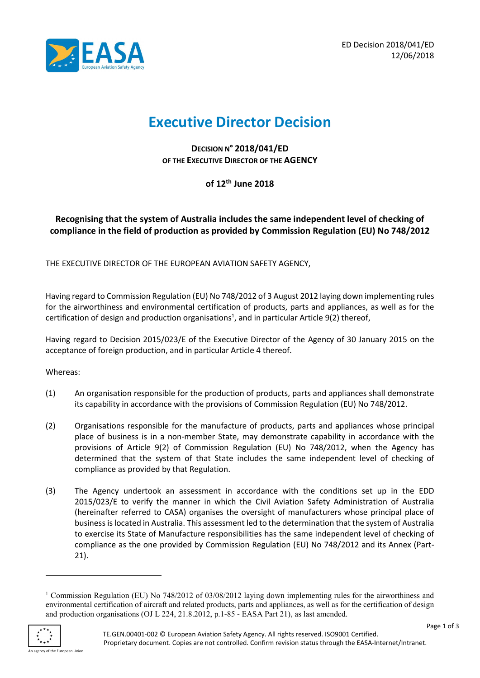

# Executive Director Decision

DECISION N° 2018/041/ED OF THE EXECUTIVE DIRECTOR OF THE AGENCY

of 12th June 2018

# Recognising that the system of Australia includes the same independent level of checking of compliance in the field of production as provided by Commission Regulation (EU) No 748/2012

THE EXECUTIVE DIRECTOR OF THE EUROPEAN AVIATION SAFETY AGENCY,

Having regard to Commission Regulation (EU) No 748/2012 of 3 August 2012 laying down implementing rules for the airworthiness and environmental certification of products, parts and appliances, as well as for the certification of design and production organisations<sup>1</sup>, and in particular Article 9(2) thereof,

Having regard to Decision 2015/023/E of the Executive Director of the Agency of 30 January 2015 on the acceptance of foreign production, and in particular Article 4 thereof.

#### Whereas:

- (1) An organisation responsible for the production of products, parts and appliances shall demonstrate its capability in accordance with the provisions of Commission Regulation (EU) No 748/2012.
- (2) Organisations responsible for the manufacture of products, parts and appliances whose principal place of business is in a non-member State, may demonstrate capability in accordance with the provisions of Article 9(2) of Commission Regulation (EU) No 748/2012, when the Agency has determined that the system of that State includes the same independent level of checking of compliance as provided by that Regulation.
- (3) The Agency undertook an assessment in accordance with the conditions set up in the EDD 2015/023/E to verify the manner in which the Civil Aviation Safety Administration of Australia (hereinafter referred to CASA) organises the oversight of manufacturers whose principal place of business is located in Australia. This assessment led to the determination that the system of Australia to exercise its State of Manufacture responsibilities has the same independent level of checking of compliance as the one provided by Commission Regulation (EU) No 748/2012 and its Annex (Part-21).

<sup>&</sup>lt;sup>1</sup> Commission Regulation (EU) No 748/2012 of 03/08/2012 laying down implementing rules for the airworthiness and environmental certification of aircraft and related products, parts and appliances, as well as for the certification of design and production organisations (OJ L 224, 21.8.2012, p.1-85 - EASA Part 21), as last amended.



-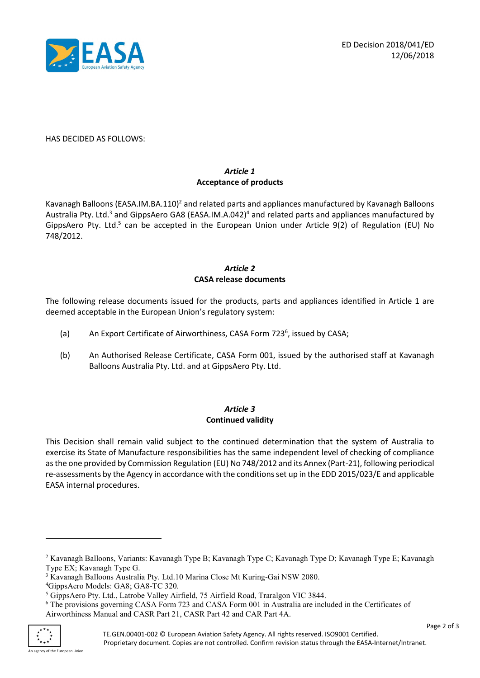

#### HAS DECIDED AS FOLLOWS:

## Article 1 Acceptance of products

Kavanagh Balloons (EASA.IM.BA.110)<sup>2</sup> and related parts and appliances manufactured by Kavanagh Balloons Australia Pty. Ltd.<sup>3</sup> and GippsAero GA8 (EASA.IM.A.042)<sup>4</sup> and related parts and appliances manufactured by GippsAero Pty. Ltd.<sup>5</sup> can be accepted in the European Union under Article 9(2) of Regulation (EU) No 748/2012.

## Article 2 CASA release documents

The following release documents issued for the products, parts and appliances identified in Article 1 are deemed acceptable in the European Union's regulatory system:

- (a) An Export Certificate of Airworthiness, CASA Form 723<sup>6</sup>, issued by CASA;
- (b) An Authorised Release Certificate, CASA Form 001, issued by the authorised staff at Kavanagh Balloons Australia Pty. Ltd. and at GippsAero Pty. Ltd.

## Article 3 Continued validity

This Decision shall remain valid subject to the continued determination that the system of Australia to exercise its State of Manufacture responsibilities has the same independent level of checking of compliance as the one provided by Commission Regulation (EU) No 748/2012 and its Annex (Part-21), following periodical re-assessments by the Agency in accordance with the conditions set up in the EDD 2015/023/E and applicable EASA internal procedures.

<sup>6</sup> The provisions governing CASA Form 723 and CASA Form 001 in Australia are included in the Certificates of Airworthiness Manual and CASR Part 21, CASR Part 42 and CAR Part 4A.



-

<sup>2</sup> Kavanagh Balloons, Variants: Kavanagh Type B; Kavanagh Type C; Kavanagh Type D; Kavanagh Type E; Kavanagh Type EX; Kavanagh Type G.

<sup>&</sup>lt;sup>3</sup> Kavanagh Balloons Australia Pty. Ltd.10 Marina Close Mt Kuring-Gai NSW 2080.

<sup>4</sup>GippsAero Models: GA8; GA8-TC 320.

<sup>&</sup>lt;sup>5</sup> GippsAero Pty. Ltd., Latrobe Valley Airfield, 75 Airfield Road, Traralgon VIC 3844.